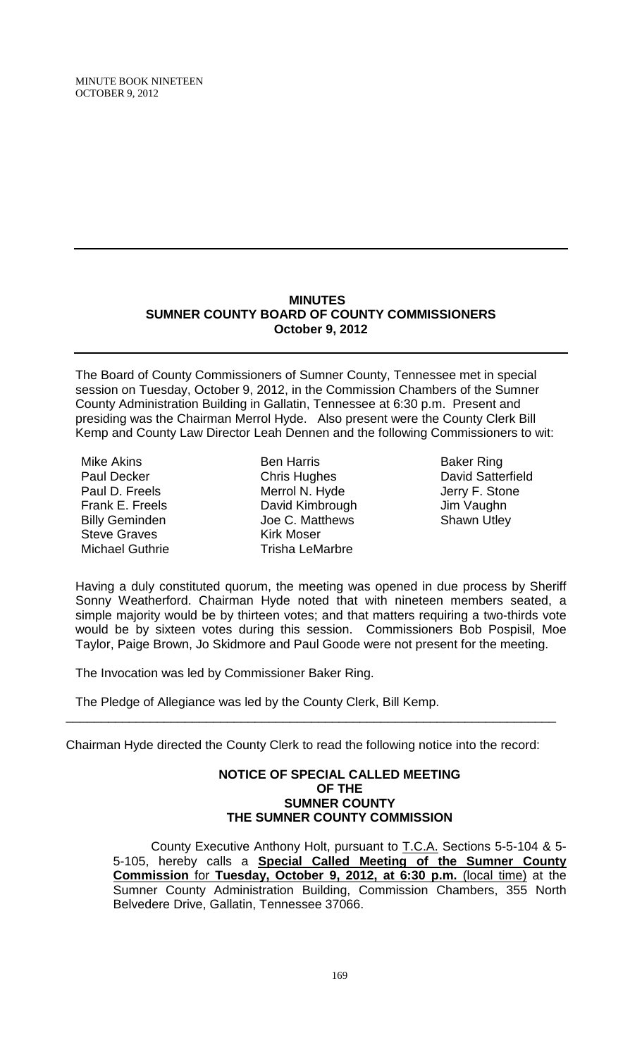MINUTE BOOK NINETEEN OCTOBER 9, 2012

## **MINUTES SUMNER COUNTY BOARD OF COUNTY COMMISSIONERS October 9, 2012**

The Board of County Commissioners of Sumner County, Tennessee met in special session on Tuesday, October 9, 2012, in the Commission Chambers of the Sumner County Administration Building in Gallatin, Tennessee at 6:30 p.m. Present and presiding was the Chairman Merrol Hyde. Also present were the County Clerk Bill Kemp and County Law Director Leah Dennen and the following Commissioners to wit:

Mike Akins Paul Decker Paul D. Freels Frank E. Freels Billy Geminden Steve Graves Michael Guthrie

Ben Harris Chris Hughes Merrol N. Hyde David Kimbrough Joe C. Matthews Kirk Moser Trisha LeMarbre

Baker Ring David Satterfield Jerry F. Stone Jim Vaughn Shawn Utley

Having a duly constituted quorum, the meeting was opened in due process by Sheriff Sonny Weatherford. Chairman Hyde noted that with nineteen members seated, a simple majority would be by thirteen votes; and that matters requiring a two-thirds vote would be by sixteen votes during this session. Commissioners Bob Pospisil, Moe Taylor, Paige Brown, Jo Skidmore and Paul Goode were not present for the meeting.

The Invocation was led by Commissioner Baker Ring.

The Pledge of Allegiance was led by the County Clerk, Bill Kemp.

Chairman Hyde directed the County Clerk to read the following notice into the record:

\_\_\_\_\_\_\_\_\_\_\_\_\_\_\_\_\_\_\_\_\_\_\_\_\_\_\_\_\_\_\_\_\_\_\_\_\_\_\_\_\_\_\_\_\_\_\_\_\_\_\_\_\_\_\_\_\_\_\_\_\_\_\_\_\_\_\_\_\_\_

## **NOTICE OF SPECIAL CALLED MEETING OF THE SUMNER COUNTY THE SUMNER COUNTY COMMISSION**

County Executive Anthony Holt, pursuant to T.C.A. Sections 5-5-104 & 5- 5-105, hereby calls a **Special Called Meeting of the Sumner County Commission** for **Tuesday, October 9, 2012, at 6:30 p.m.** (local time) at the Sumner County Administration Building, Commission Chambers, 355 North Belvedere Drive, Gallatin, Tennessee 37066.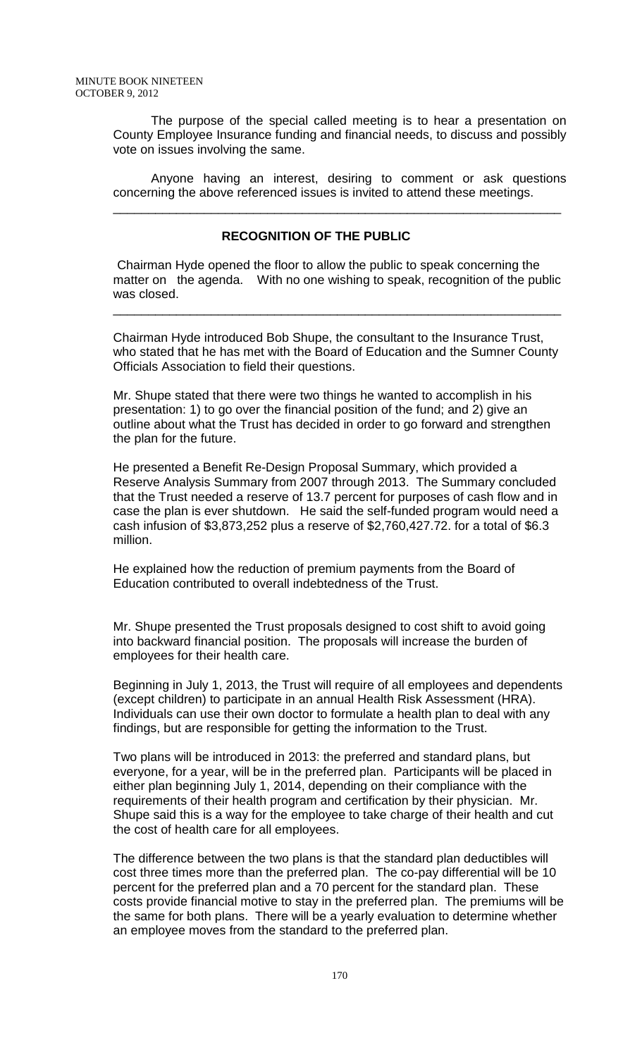The purpose of the special called meeting is to hear a presentation on County Employee Insurance funding and financial needs, to discuss and possibly vote on issues involving the same.

Anyone having an interest, desiring to comment or ask questions concerning the above referenced issues is invited to attend these meetings.

\_\_\_\_\_\_\_\_\_\_\_\_\_\_\_\_\_\_\_\_\_\_\_\_\_\_\_\_\_\_\_\_\_\_\_\_\_\_\_\_\_\_\_\_\_\_\_\_\_\_\_\_\_\_\_\_\_\_\_\_\_\_\_\_

## **RECOGNITION OF THE PUBLIC**

Chairman Hyde opened the floor to allow the public to speak concerning the matter on the agenda. With no one wishing to speak, recognition of the public was closed.

\_\_\_\_\_\_\_\_\_\_\_\_\_\_\_\_\_\_\_\_\_\_\_\_\_\_\_\_\_\_\_\_\_\_\_\_\_\_\_\_\_\_\_\_\_\_\_\_\_\_\_\_\_\_\_\_\_\_\_\_\_\_\_\_

Chairman Hyde introduced Bob Shupe, the consultant to the Insurance Trust, who stated that he has met with the Board of Education and the Sumner County Officials Association to field their questions.

Mr. Shupe stated that there were two things he wanted to accomplish in his presentation: 1) to go over the financial position of the fund; and 2) give an outline about what the Trust has decided in order to go forward and strengthen the plan for the future.

He presented a Benefit Re-Design Proposal Summary, which provided a Reserve Analysis Summary from 2007 through 2013. The Summary concluded that the Trust needed a reserve of 13.7 percent for purposes of cash flow and in case the plan is ever shutdown. He said the self-funded program would need a cash infusion of \$3,873,252 plus a reserve of \$2,760,427.72. for a total of \$6.3 million.

He explained how the reduction of premium payments from the Board of Education contributed to overall indebtedness of the Trust.

Mr. Shupe presented the Trust proposals designed to cost shift to avoid going into backward financial position. The proposals will increase the burden of employees for their health care.

Beginning in July 1, 2013, the Trust will require of all employees and dependents (except children) to participate in an annual Health Risk Assessment (HRA). Individuals can use their own doctor to formulate a health plan to deal with any findings, but are responsible for getting the information to the Trust.

Two plans will be introduced in 2013: the preferred and standard plans, but everyone, for a year, will be in the preferred plan. Participants will be placed in either plan beginning July 1, 2014, depending on their compliance with the requirements of their health program and certification by their physician. Mr. Shupe said this is a way for the employee to take charge of their health and cut the cost of health care for all employees.

The difference between the two plans is that the standard plan deductibles will cost three times more than the preferred plan. The co-pay differential will be 10 percent for the preferred plan and a 70 percent for the standard plan. These costs provide financial motive to stay in the preferred plan. The premiums will be the same for both plans. There will be a yearly evaluation to determine whether an employee moves from the standard to the preferred plan.